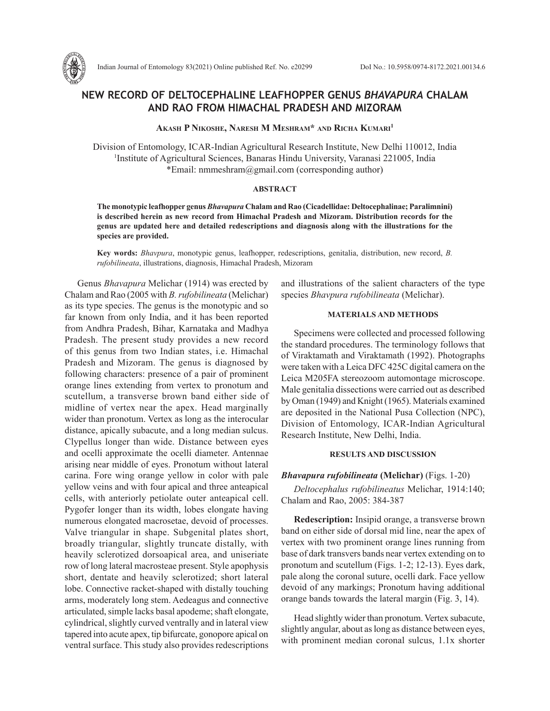

## **NEW RECORD OF DELTOCEPHALINE LEAFHOPPER GENUS** *BHAVAPURA* **CHALAM AND RAO FROM HIMACHAL PRADESH AND MIZORAM**

**Akash P Nikoshe, Naresh M Meshram\* and Richa Kumari1**

Division of Entomology, ICAR-Indian Agricultural Research Institute, New Delhi 110012, India 1 Institute of Agricultural Sciences, Banaras Hindu University, Varanasi 221005, India \*Email: nmmeshram@gmail.com (corresponding author)

#### **ABSTRACT**

**The monotypic leafhopper genus** *Bhavapura* **Chalam and Rao (Cicadellidae: Deltocephalinae; Paralimnini) is described herein as new record from Himachal Pradesh and Mizoram. Distribution records for the genus are updated here and detailed redescriptions and diagnosis along with the illustrations for the species are provided.**

**Key words:** *Bhavpura*, monotypic genus, leafhopper, redescriptions, genitalia, distribution, new record, *B. rufobilineata*, illustrations, diagnosis, Himachal Pradesh, Mizoram

Genus *Bhavapura* Melichar (1914) was erected by Chalam and Rao (2005 with *B. rufobilineata* (Melichar) as its type species. The genus is the monotypic and so far known from only India, and it has been reported from Andhra Pradesh, Bihar, Karnataka and Madhya Pradesh. The present study provides a new record of this genus from two Indian states, i.e. Himachal Pradesh and Mizoram. The genus is diagnosed by following characters: presence of a pair of prominent orange lines extending from vertex to pronotum and scutellum, a transverse brown band either side of midline of vertex near the apex. Head marginally wider than pronotum. Vertex as long as the interocular distance, apically subacute, and a long median sulcus. Clypellus longer than wide. Distance between eyes and ocelli approximate the ocelli diameter. Antennae arising near middle of eyes. Pronotum without lateral carina. Fore wing orange yellow in color with pale yellow veins and with four apical and three anteapical cells, with anteriorly petiolate outer anteapical cell. Pygofer longer than its width, lobes elongate having numerous elongated macrosetae, devoid of processes. Valve triangular in shape. Subgenital plates short, broadly triangular, slightly truncate distally, with heavily sclerotized dorsoapical area, and uniseriate row of long lateral macrosteae present. Style apophysis short, dentate and heavily sclerotized; short lateral lobe. Connective racket-shaped with distally touching arms, moderately long stem. Aedeagus and connective articulated, simple lacks basal apodeme; shaft elongate, cylindrical, slightly curved ventrally and in lateral view tapered into acute apex, tip bifurcate, gonopore apical on ventral surface. This study also provides redescriptions and illustrations of the salient characters of the type species *Bhavpura rufobilineata* (Melichar).

### **MATERIALS AND METHODS**

Specimens were collected and processed following the standard procedures. The terminology follows that of Viraktamath and Viraktamath (1992). Photographs were taken with a Leica DFC 425C digital camera on the Leica M205FA stereozoom automontage microscope. Male genitalia dissections were carried out as described by Oman (1949) and Knight (1965). Materials examined are deposited in the National Pusa Collection (NPC), Division of Entomology, ICAR-Indian Agricultural Research Institute, New Delhi, India.

#### **RESULTS AND DISCUSSION**

#### *Bhavapura rufobilineata* **(Melichar)** (Figs. 1-20)

*Deltocephalus rufobilineatus* Melichar, 1914:140; Chalam and Rao, 2005: 384-387

**Redescription:** Insipid orange, a transverse brown band on either side of dorsal mid line, near the apex of vertex with two prominent orange lines running from base of dark transvers bands near vertex extending on to pronotum and scutellum (Figs. 1-2; 12-13). Eyes dark, pale along the coronal suture, ocelli dark. Face yellow devoid of any markings; Pronotum having additional orange bands towards the lateral margin (Fig. 3, 14).

Head slightly wider than pronotum. Vertex subacute, slightly angular, about as long as distance between eyes, with prominent median coronal sulcus, 1.1x shorter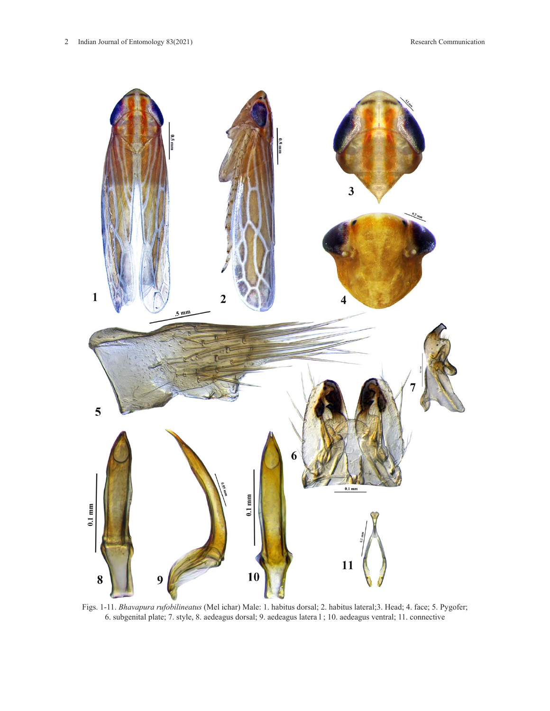

Figs. 1-11. *Bhavapura rufobilineatus* (Mel ichar) Male: 1. habitus dorsal; 2. habitus lateral;3. Head; 4. face; 5. Pygofer; 6. subgenital plate; 7. style, 8. aedeagus dorsal; 9. aedeagus latera l ; 10. aedeagus ventral; 11. connective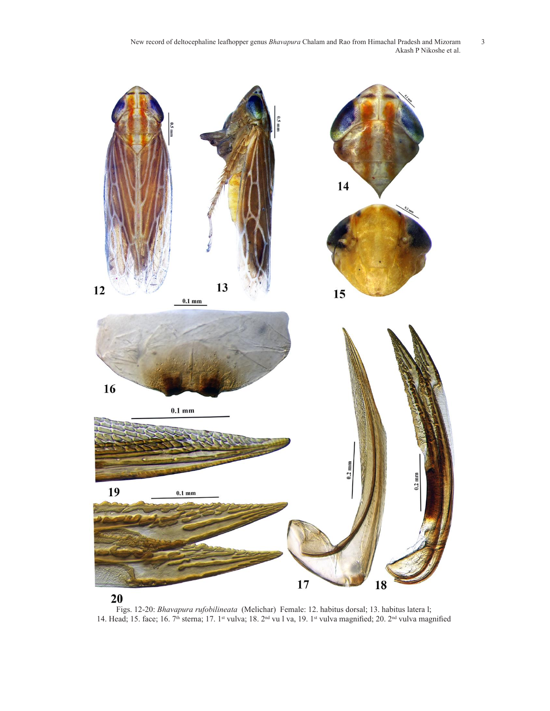New record of deltocephaline leafhopper genus *Bhavapura* Chalam and Rao from Himachal Pradesh and Mizoram 3 Akash P Nikoshe et al.



# 20

Figs. 12-20: *Bhavapura rufobilineata* (Melichar) Female: 12. habitus dorsal; 13. habitus latera l; 14. Head; 15. face; 16. 7th sterna; 17. 1st vulva; 18. 2nd vu l va, 19. 1st vulva magnified; 20. 2nd vulva magnified